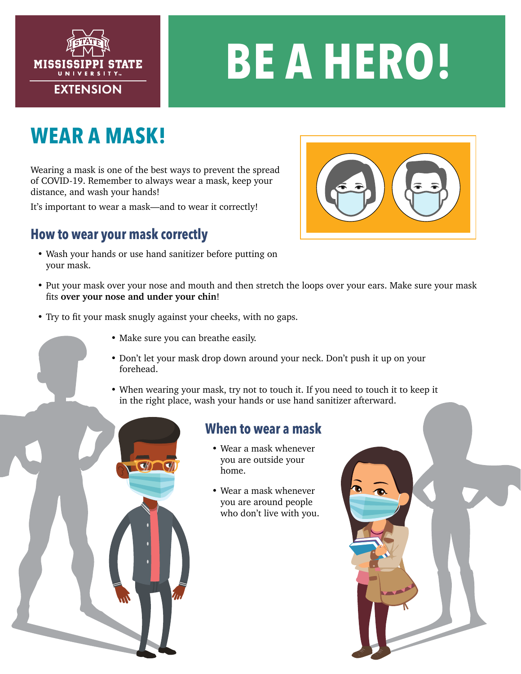

# **BE A HERO!**

## **WEAR A MASK!**

Wearing a mask is one of the best ways to prevent the spread of COVID-19. Remember to always wear a mask, keep your distance, and wash your hands!

It's important to wear a mask—and to wear it correctly!

### **How to wear your mask correctly**

- Wash your hands or use hand sanitizer before putting on your mask.
- 
- Put your mask over your nose and mouth and then stretch the loops over your ears. Make sure your mask fits **over your nose and under your chin**!
- Try to fit your mask snugly against your cheeks, with no gaps.
	- Make sure you can breathe easily.
	- Don't let your mask drop down around your neck. Don't push it up on your forehead.
	- When wearing your mask, try not to touch it. If you need to touch it to keep it in the right place, wash your hands or use hand sanitizer afterward.

#### **When to wear a mask**

- Wear a mask whenever you are outside your home.
- Wear a mask whenever you are around people who don't live with you.